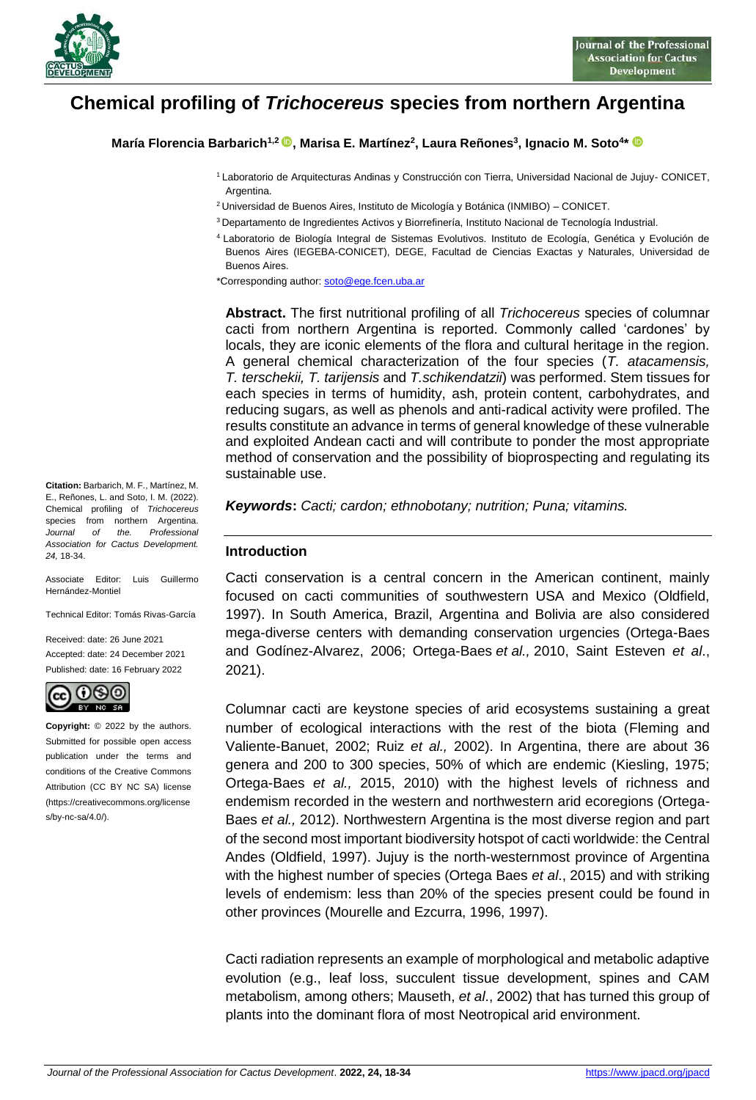

# **Chemical profiling of** *Trichocereus* **species from northern Argentina**

**María Florencia Barbarich1,2 , Marisa E. Martínez<sup>2</sup> , Laura Reñones<sup>3</sup> , Ignacio M. Soto<sup>4</sup> \***

- <sup>1</sup>Laboratorio de Arquitecturas Andinas y Construcción con Tierra, Universidad Nacional de Jujuy- CONICET, Argentina.
- <sup>2</sup>Universidad de Buenos Aires, Instituto de Micología y Botánica (INMIBO) CONICET.
- <sup>3</sup>Departamento de Ingredientes Activos y Biorrefinería, Instituto Nacional de Tecnología Industrial.
- <sup>4</sup>Laboratorio de Biología Integral de Sistemas Evolutivos. Instituto de Ecología, Genética y Evolución de Buenos Aires (IEGEBA-CONICET), DEGE, Facultad de Ciencias Exactas y Naturales, Universidad de Buenos Aires.

\*Corresponding author: [soto@ege.fcen.uba.ar](mailto:soto@ege.fcen.uba.ar)

**Abstract.** The first nutritional profiling of all *Trichocereus* species of columnar cacti from northern Argentina is reported. Commonly called 'cardones' by locals, they are iconic elements of the flora and cultural heritage in the region. A general chemical characterization of the four species (*T. atacamensis, T. terschekii, T. tarijensis* and *T.schikendatzii*) was performed. Stem tissues for each species in terms of humidity, ash, protein content, carbohydrates, and reducing sugars, as well as phenols and anti-radical activity were profiled. The results constitute an advance in terms of general knowledge of these vulnerable and exploited Andean cacti and will contribute to ponder the most appropriate method of conservation and the possibility of bioprospecting and regulating its sustainable use.

*Keywords***:** *Cacti; cardon; ethnobotany; nutrition; Puna; vitamins.*

#### **Introduction**

Cacti conservation is a central concern in the American continent, mainly focused on cacti communities of southwestern USA and Mexico (Oldfield, 1997). In South America, Brazil, Argentina and Bolivia are also considered mega-diverse centers with demanding conservation urgencies (Ortega-Baes and Godínez-Alvarez, 2006; Ortega-Baes *et al.,* 2010, Saint Esteven *et al*., 2021).

Columnar cacti are keystone species of arid ecosystems sustaining a great number of ecological interactions with the rest of the biota (Fleming and Valiente-Banuet, 2002; Ruiz *et al.,* 2002). In Argentina, there are about 36 genera and 200 to 300 species, 50% of which are endemic (Kiesling, 1975; Ortega-Baes *et al.,* 2015, 2010) with the highest levels of richness and endemism recorded in the western and northwestern arid ecoregions (Ortega-Baes *et al.,* 2012). Northwestern Argentina is the most diverse region and part of the second most important biodiversity hotspot of cacti worldwide: the Central Andes (Oldfield, 1997). Jujuy is the north-westernmost province of Argentina with the highest number of species (Ortega Baes *et al*., 2015) and with striking levels of endemism: less than 20% of the species present could be found in other provinces (Mourelle and Ezcurra, 1996, 1997).

Cacti radiation represents an example of morphological and metabolic adaptive evolution (e.g., leaf loss, succulent tissue development, spines and CAM metabolism, among others; Mauseth, *et al*., 2002) that has turned this group of plants into the dominant flora of most Neotropical arid environment.

**Citation:** Barbarich, M. F., Martínez, M. E., Reñones, L. and Soto, I. M. (2022). Chemical profiling of *Trichocereus* species from northern Argentina. *Journal of the. Professional Association for Cactus Development. 24,* 18-34.

Associate Editor: Luis Guillermo Hernández-Montiel

Technical Editor: Tomás Rivas-García

Received: date: 26 June 2021 Accepted: date: 24 December 2021 Published: date: 16 February 2022



**Copyright:** © 2022 by the authors. Submitted for possible open access publication under the terms and conditions of the Creative Commons Attribution (CC BY NC SA) license (https://creativecommons.org/license s/by-nc-sa/4.0/).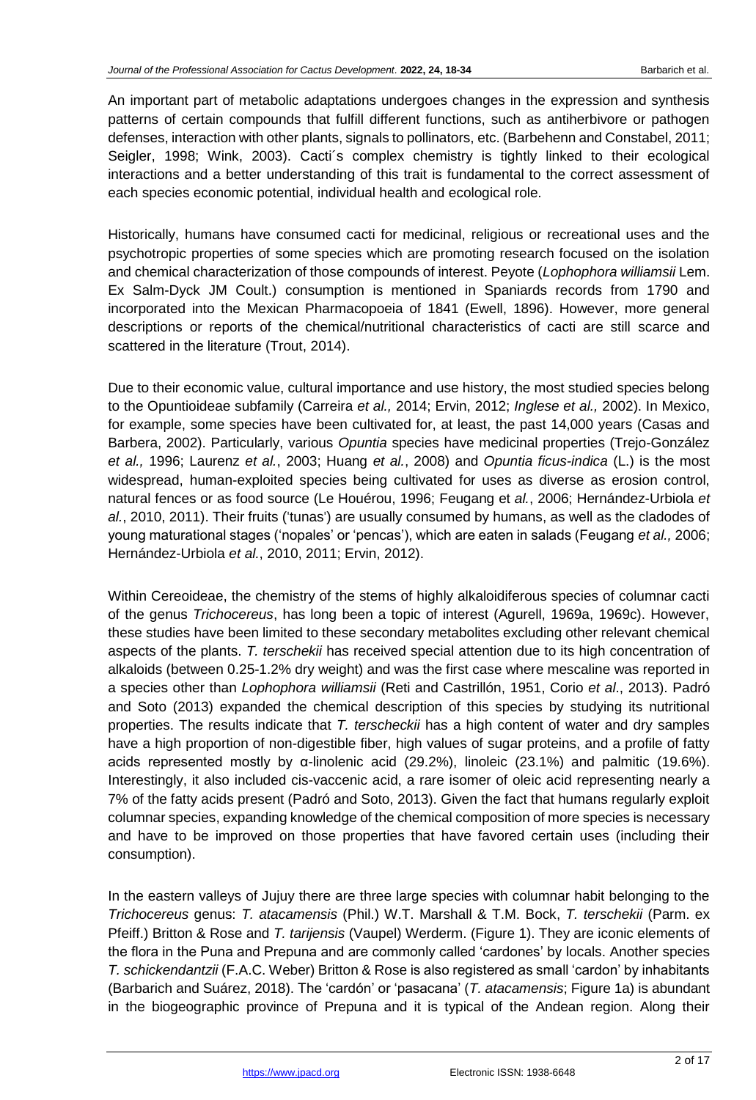An important part of metabolic adaptations undergoes changes in the expression and synthesis patterns of certain compounds that fulfill different functions, such as antiherbivore or pathogen defenses, interaction with other plants, signals to pollinators, etc. (Barbehenn and Constabel, 2011; Seigler, 1998; Wink, 2003). Cacti´s complex chemistry is tightly linked to their ecological interactions and a better understanding of this trait is fundamental to the correct assessment of each species economic potential, individual health and ecological role.

Historically, humans have consumed cacti for medicinal, religious or recreational uses and the psychotropic properties of some species which are promoting research focused on the isolation and chemical characterization of those compounds of interest. Peyote (*Lophophora williamsii* Lem. Ex Salm-Dyck JM Coult.) consumption is mentioned in Spaniards records from 1790 and incorporated into the Mexican Pharmacopoeia of 1841 (Ewell, 1896). However, more general descriptions or reports of the chemical/nutritional characteristics of cacti are still scarce and scattered in the literature (Trout, 2014).

Due to their economic value, cultural importance and use history, the most studied species belong to the Opuntioideae subfamily (Carreira *et al.,* 2014; Ervin, 2012; *Inglese et al.,* 2002). In Mexico, for example, some species have been cultivated for, at least, the past 14,000 years (Casas and Barbera, 2002). Particularly, various *Opuntia* species have medicinal properties (Trejo-González *et al.,* 1996; Laurenz *et al.*, 2003; Huang *et al.*, 2008) and *Opuntia ficus-indica* (L.) is the most widespread, human-exploited species being cultivated for uses as diverse as erosion control, natural fences or as food source (Le Houérou, 1996; Feugang et *al.*, 2006; Hernández-Urbiola *et al.*, 2010, 2011). Their fruits ('tunas') are usually consumed by humans, as well as the cladodes of young maturational stages ('nopales' or 'pencas'), which are eaten in salads (Feugang *et al.,* 2006; Hernández-Urbiola *et al.*, 2010, 2011; Ervin, 2012).

Within Cereoideae, the chemistry of the stems of highly alkaloidiferous species of columnar cacti of the genus *Trichocereus*, has long been a topic of interest (Agurell, 1969a, 1969c). However, these studies have been limited to these secondary metabolites excluding other relevant chemical aspects of the plants. *T. terschekii* has received special attention due to its high concentration of alkaloids (between 0.25-1.2% dry weight) and was the first case where mescaline was reported in a species other than *Lophophora williamsii* (Reti and Castrillón, 1951, Corio *et al*., 2013). Padró and Soto (2013) expanded the chemical description of this species by studying its nutritional properties. The results indicate that *T. terscheckii* has a high content of water and dry samples have a high proportion of non-digestible fiber, high values of sugar proteins, and a profile of fatty acids represented mostly by α-linolenic acid (29.2%), linoleic (23.1%) and palmitic (19.6%). Interestingly, it also included cis-vaccenic acid, a rare isomer of oleic acid representing nearly a 7% of the fatty acids present (Padró and Soto, 2013). Given the fact that humans regularly exploit columnar species, expanding knowledge of the chemical composition of more species is necessary and have to be improved on those properties that have favored certain uses (including their consumption).

In the eastern valleys of Jujuy there are three large species with columnar habit belonging to the *Trichocereus* genus: *T. atacamensis* (Phil.) W.T. Marshall & T.M. Bock, *T. terschekii* (Parm. ex Pfeiff.) Britton & Rose and *T. tarijensis* (Vaupel) Werderm. (Figure 1). They are iconic elements of the flora in the Puna and Prepuna and are commonly called 'cardones' by locals. Another species *T. schickendantzii* (F.A.C. Weber) Britton & Rose is also registered as small 'cardon' by inhabitants (Barbarich and Suárez, 2018). The 'cardón' or 'pasacana' (*T. atacamensis*; Figure 1a) is abundant in the biogeographic province of Prepuna and it is typical of the Andean region. Along their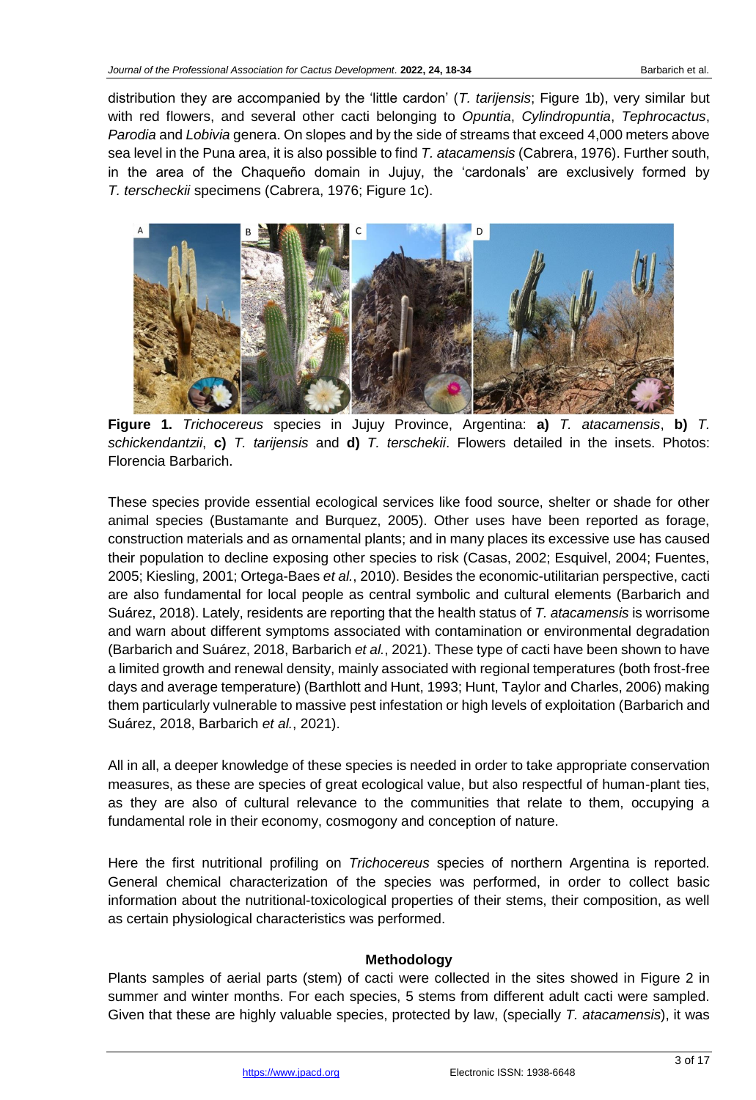distribution they are accompanied by the 'little cardon' (*T. tarijensis*; Figure 1b), very similar but with red flowers, and several other cacti belonging to *Opuntia*, *Cylindropuntia*, *Tephrocactus*, *Parodia* and *Lobivia* genera. On slopes and by the side of streams that exceed 4,000 meters above sea level in the Puna area, it is also possible to find *T. atacamensis* (Cabrera, 1976). Further south, in the area of the Chaqueño domain in Jujuy, the 'cardonals' are exclusively formed by *T. terscheckii* specimens (Cabrera, 1976; Figure 1c).



**Figure 1.** *Trichocereus* species in Jujuy Province, Argentina: **a)** *T. atacamensis*, **b)** *T. schickendantzii*, **c)** *T. tarijensis* and **d)** *T. terschekii*. Flowers detailed in the insets. Photos: Florencia Barbarich.

These species provide essential ecological services like food source, shelter or shade for other animal species (Bustamante and Burquez, 2005). Other uses have been reported as forage, construction materials and as ornamental plants; and in many places its excessive use has caused their population to decline exposing other species to risk (Casas, 2002; Esquivel, 2004; Fuentes, 2005; Kiesling, 2001; Ortega-Baes *et al.*, 2010). Besides the economic-utilitarian perspective, cacti are also fundamental for local people as central symbolic and cultural elements (Barbarich and Suárez, 2018). Lately, residents are reporting that the health status of *T. atacamensis* is worrisome and warn about different symptoms associated with contamination or environmental degradation (Barbarich and Suárez, 2018, Barbarich *et al.*, 2021). These type of cacti have been shown to have a limited growth and renewal density, mainly associated with regional temperatures (both frost-free days and average temperature) (Barthlott and Hunt, 1993; Hunt, Taylor and Charles, 2006) making them particularly vulnerable to massive pest infestation or high levels of exploitation (Barbarich and Suárez, 2018, Barbarich *et al.*, 2021).

All in all, a deeper knowledge of these species is needed in order to take appropriate conservation measures, as these are species of great ecological value, but also respectful of human-plant ties, as they are also of cultural relevance to the communities that relate to them, occupying a fundamental role in their economy, cosmogony and conception of nature.

Here the first nutritional profiling on *Trichocereus* species of northern Argentina is reported. General chemical characterization of the species was performed, in order to collect basic information about the nutritional-toxicological properties of their stems, their composition, as well as certain physiological characteristics was performed.

### **Methodology**

Plants samples of aerial parts (stem) of cacti were collected in the sites showed in Figure 2 in summer and winter months. For each species, 5 stems from different adult cacti were sampled. Given that these are highly valuable species, protected by law, (specially *T. atacamensis*), it was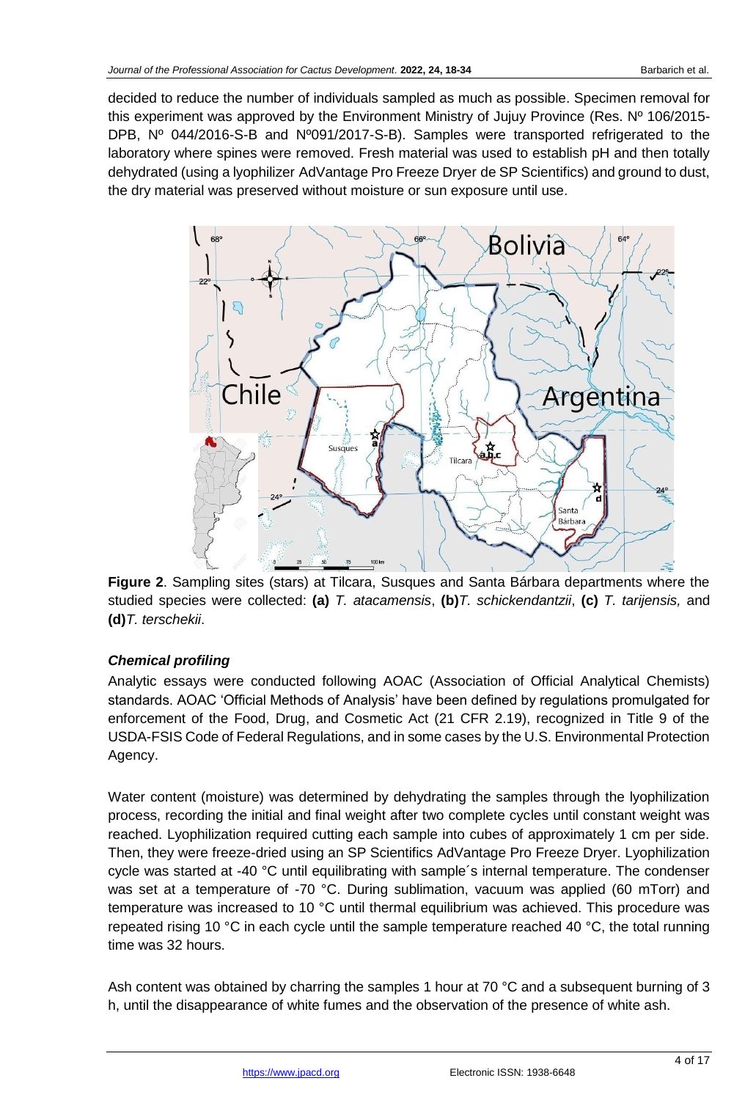decided to reduce the number of individuals sampled as much as possible. Specimen removal for this experiment was approved by the Environment Ministry of Jujuy Province (Res. Nº 106/2015- DPB, Nº 044/2016-S-B and Nº091/2017-S-B). Samples were transported refrigerated to the laboratory where spines were removed. Fresh material was used to establish pH and then totally dehydrated (using a lyophilizer AdVantage Pro Freeze Dryer de SP Scientifics) and ground to dust, the dry material was preserved without moisture or sun exposure until use.



**Figure 2**. Sampling sites (stars) at Tilcara, Susques and Santa Bárbara departments where the studied species were collected: **(a)** *T. atacamensis*, **(b)***T. schickendantzii*, **(c)** *T. tarijensis,* and **(d)***T. terschekii*.

## *Chemical profiling*

Analytic essays were conducted following AOAC (Association of Official Analytical Chemists) standards. AOAC 'Official Methods of Analysis' have been defined by regulations promulgated for enforcement of the Food, Drug, and Cosmetic Act (21 CFR 2.19), recognized in Title 9 of the USDA-FSIS Code of Federal Regulations, and in some cases by the U.S. Environmental Protection Agency.

Water content (moisture) was determined by dehydrating the samples through the lyophilization process, recording the initial and final weight after two complete cycles until constant weight was reached. Lyophilization required cutting each sample into cubes of approximately 1 cm per side. Then, they were freeze-dried using an SP Scientifics AdVantage Pro Freeze Dryer. Lyophilization cycle was started at -40 °C until equilibrating with sample´s internal temperature. The condenser was set at a temperature of -70 °C. During sublimation, vacuum was applied (60 mTorr) and temperature was increased to 10 °C until thermal equilibrium was achieved. This procedure was repeated rising 10 °C in each cycle until the sample temperature reached 40 °C, the total running time was 32 hours.

Ash content was obtained by charring the samples 1 hour at 70 °C and a subsequent burning of 3 h, until the disappearance of white fumes and the observation of the presence of white ash.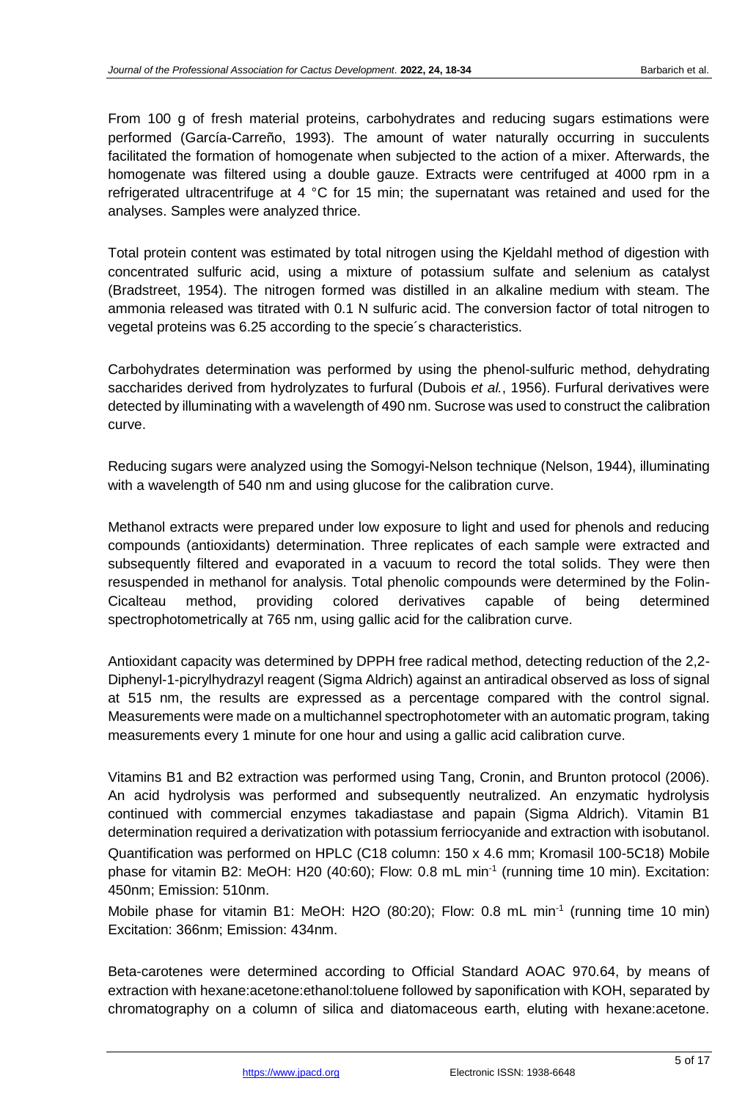From 100 g of fresh material proteins, carbohydrates and reducing sugars estimations were performed (García-Carreño, 1993). The amount of water naturally occurring in succulents facilitated the formation of homogenate when subjected to the action of a mixer. Afterwards, the homogenate was filtered using a double gauze. Extracts were centrifuged at 4000 rpm in a refrigerated ultracentrifuge at 4 °C for 15 min; the supernatant was retained and used for the analyses. Samples were analyzed thrice.

Total protein content was estimated by total nitrogen using the Kjeldahl method of digestion with concentrated sulfuric acid, using a mixture of potassium sulfate and selenium as catalyst (Bradstreet, 1954). The nitrogen formed was distilled in an alkaline medium with steam. The ammonia released was titrated with 0.1 N sulfuric acid. The conversion factor of total nitrogen to vegetal proteins was 6.25 according to the specie´s characteristics.

Carbohydrates determination was performed by using the phenol-sulfuric method, dehydrating saccharides derived from hydrolyzates to furfural (Dubois *et al.*, 1956). Furfural derivatives were detected by illuminating with a wavelength of 490 nm. Sucrose was used to construct the calibration curve.

Reducing sugars were analyzed using the Somogyi-Nelson technique (Nelson, 1944), illuminating with a wavelength of 540 nm and using glucose for the calibration curve.

Methanol extracts were prepared under low exposure to light and used for phenols and reducing compounds (antioxidants) determination. Three replicates of each sample were extracted and subsequently filtered and evaporated in a vacuum to record the total solids. They were then resuspended in methanol for analysis. Total phenolic compounds were determined by the Folin-Cicalteau method, providing colored derivatives capable of being determined spectrophotometrically at 765 nm, using gallic acid for the calibration curve.

Antioxidant capacity was determined by DPPH free radical method, detecting reduction of the 2,2- Diphenyl-1-picrylhydrazyl reagent (Sigma Aldrich) against an antiradical observed as loss of signal at 515 nm, the results are expressed as a percentage compared with the control signal. Measurements were made on a multichannel spectrophotometer with an automatic program, taking measurements every 1 minute for one hour and using a gallic acid calibration curve.

Vitamins B1 and B2 extraction was performed using Tang, Cronin, and Brunton protocol (2006). An acid hydrolysis was performed and subsequently neutralized. An enzymatic hydrolysis continued with commercial enzymes takadiastase and papain (Sigma Aldrich). Vitamin B1 determination required a derivatization with potassium ferriocyanide and extraction with isobutanol. Quantification was performed on HPLC (C18 column: 150 x 4.6 mm; Kromasil 100-5C18) Mobile phase for vitamin B2: MeOH: H20 (40:60); Flow: 0.8 mL min<sup>-1</sup> (running time 10 min). Excitation: 450nm; Emission: 510nm.

Mobile phase for vitamin B1: MeOH: H2O (80:20); Flow: 0.8 mL min<sup>-1</sup> (running time 10 min) Excitation: 366nm; Emission: 434nm.

Beta-carotenes were determined according to Official Standard AOAC 970.64, by means of extraction with hexane:acetone:ethanol:toluene followed by saponification with KOH, separated by chromatography on a column of silica and diatomaceous earth, eluting with hexane:acetone.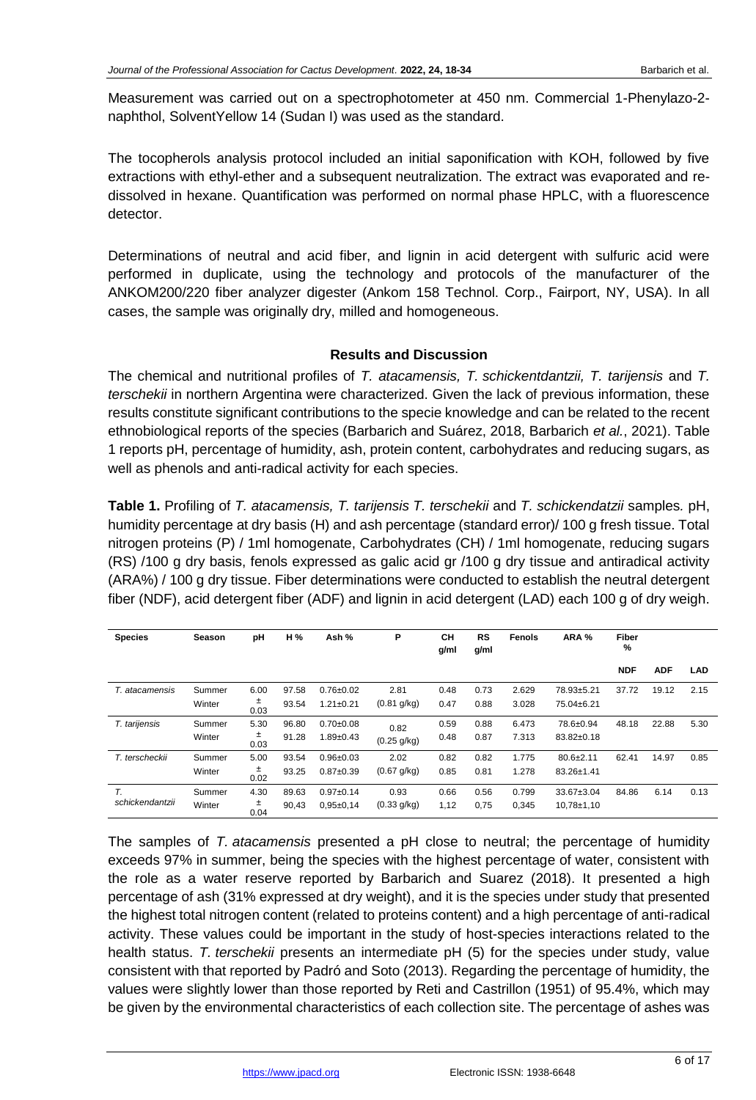Measurement was carried out on a spectrophotometer at 450 nm. Commercial 1-Phenylazo-2 naphthol, SolventYellow 14 (Sudan I) was used as the standard.

The tocopherols analysis protocol included an initial saponification with KOH, followed by five extractions with ethyl-ether and a subsequent neutralization. The extract was evaporated and redissolved in hexane. Quantification was performed on normal phase HPLC, with a fluorescence detector.

Determinations of neutral and acid fiber, and lignin in acid detergent with sulfuric acid were performed in duplicate, using the technology and protocols of the manufacturer of the ANKOM200/220 fiber analyzer digester (Ankom 158 Technol. Corp., Fairport, NY, USA). In all cases, the sample was originally dry, milled and homogeneous.

#### **Results and Discussion**

The chemical and nutritional profiles of *T. atacamensis, T. schickentdantzii, T. tarijensis* and *T. terschekii* in northern Argentina were characterized. Given the lack of previous information, these results constitute significant contributions to the specie knowledge and can be related to the recent ethnobiological reports of the species (Barbarich and Suárez, 2018, Barbarich *et al.*, 2021). Table 1 reports pH, percentage of humidity, ash, protein content, carbohydrates and reducing sugars, as well as phenols and anti-radical activity for each species.

**Table 1.** Profiling of *T. atacamensis, T. tarijensis T. terschekii* and *T. schickendatzii* samples*.* pH, humidity percentage at dry basis (H) and ash percentage (standard error)/ 100 g fresh tissue. Total nitrogen proteins (P) / 1ml homogenate, Carbohydrates (CH) / 1ml homogenate, reducing sugars (RS) /100 g dry basis, fenols expressed as galic acid gr /100 g dry tissue and antiradical activity (ARA%) / 100 g dry tissue. Fiber determinations were conducted to establish the neutral detergent fiber (NDF), acid detergent fiber (ADF) and lignin in acid detergent (LAD) each 100 g of dry weigh.

| <b>Species</b>        | Season           | pH        | H %   | Ash %           | P                     | <b>CH</b><br>g/ml | <b>RS</b><br>g/ml | <b>Fenols</b> | ARA %           | <b>Fiber</b><br>% |            |            |
|-----------------------|------------------|-----------|-------|-----------------|-----------------------|-------------------|-------------------|---------------|-----------------|-------------------|------------|------------|
|                       |                  |           |       |                 |                       |                   |                   |               |                 | <b>NDF</b>        | <b>ADF</b> | <b>LAD</b> |
| T. atacamensis        | Summer           | 6.00      | 97.58 | $0.76 + 0.02$   | 2.81                  | 0.48              | 0.73              | 2.629         | 78.93±5.21      | 37.72             | 19.12      | 2.15       |
|                       | Winter           | ±<br>0.03 | 93.54 | $1.21 \pm 0.21$ | $(0.81$ g/kg)         | 0.47              | 0.88              | 3.028         | 75.04±6.21      |                   |            |            |
| T. tarijensis         | Summer<br>Winter | 5.30      | 96.80 | $0.70 + 0.08$   | 0.82                  | 0.59              | 0.88              | 6.473         | 78.6±0.94       | 48.18             | 22.88      | 5.30       |
|                       |                  | ±<br>0.03 | 91.28 | $1.89 \pm 0.43$ | (0.25 g/kg)           | 0.48              | 0.87              | 7.313         | 83.82±0.18      |                   |            |            |
| T. terscheckii        | Summer           | 5.00      | 93.54 | $0.96 + 0.03$   | 2.02                  | 0.82              | 0.82              | 1.775         | $80.6 \pm 2.11$ | 62.41             | 14.97      | 0.85       |
|                       | Winter           | ±<br>0.02 | 93.25 | $0.87 + 0.39$   | $(0.67 \text{ g/kg})$ | 0.85              | 0.81              | 1.278         | 83.26±1.41      |                   |            |            |
| T.<br>schickendantzii | Summer           | 4.30      | 89.63 | $0.97 + 0.14$   | 0.93                  | 0.66              | 0.56              | 0.799         | 33.67±3.04      | 84.86             | 6.14       | 0.13       |
|                       | Winter           | ±<br>0.04 | 90,43 | $0,95+0,14$     | (0.33 g/kg)           | 1,12              | 0,75              | 0,345         | $10,78\pm1,10$  |                   |            |            |

The samples of *T. atacamensis* presented a pH close to neutral; the percentage of humidity exceeds 97% in summer, being the species with the highest percentage of water, consistent with the role as a water reserve reported by Barbarich and Suarez (2018). It presented a high percentage of ash (31% expressed at dry weight), and it is the species under study that presented the highest total nitrogen content (related to proteins content) and a high percentage of anti-radical activity. These values could be important in the study of host-species interactions related to the health status. *T. terschekii* presents an intermediate pH (5) for the species under study, value consistent with that reported by Padró and Soto (2013). Regarding the percentage of humidity, the values were slightly lower than those reported by Reti and Castrillon (1951) of 95.4%, which may be given by the environmental characteristics of each collection site. The percentage of ashes was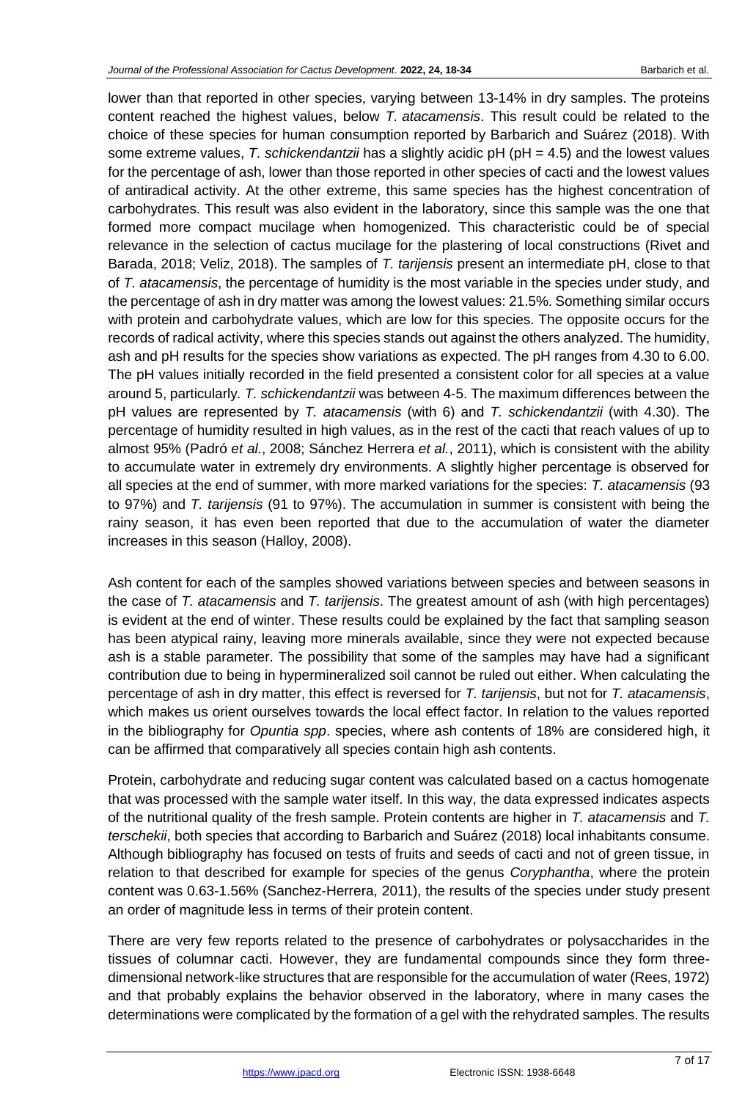lower than that reported in other species, varying between 13-14% in dry samples. The proteins content reached the highest values, below *T. atacamensis*. This result could be related to the choice of these species for human consumption reported by Barbarich and Suárez (2018). With some extreme values, *T. schickendantzii* has a slightly acidic pH (pH = 4.5) and the lowest values for the percentage of ash, lower than those reported in other species of cacti and the lowest values of antiradical activity. At the other extreme, this same species has the highest concentration of carbohydrates. This result was also evident in the laboratory, since this sample was the one that formed more compact mucilage when homogenized. This characteristic could be of special relevance in the selection of cactus mucilage for the plastering of local constructions (Rivet and Barada, 2018; Veliz, 2018). The samples of *T. tarijensis* present an intermediate pH, close to that of *T. atacamensis*, the percentage of humidity is the most variable in the species under study, and the percentage of ash in dry matter was among the lowest values: 21.5%. Something similar occurs with protein and carbohydrate values, which are low for this species. The opposite occurs for the records of radical activity, where this species stands out against the others analyzed. The humidity, ash and pH results for the species show variations as expected. The pH ranges from 4.30 to 6.00. The pH values initially recorded in the field presented a consistent color for all species at a value around 5, particularly*. T. schickendantzii* was between 4-5. The maximum differences between the pH values are represented by *T. atacamensis* (with 6) and *T. schickendantzii* (with 4.30). The percentage of humidity resulted in high values, as in the rest of the cacti that reach values of up to almost 95% (Padró *et al.*, 2008; Sánchez Herrera *et al.*, 2011), which is consistent with the ability to accumulate water in extremely dry environments. A slightly higher percentage is observed for all species at the end of summer, with more marked variations for the species: *T. atacamensis* (93 to 97%) and *T. tarijensis* (91 to 97%). The accumulation in summer is consistent with being the rainy season, it has even been reported that due to the accumulation of water the diameter increases in this season (Halloy, 2008).

Ash content for each of the samples showed variations between species and between seasons in the case of *T. atacamensis* and *T. tarijensis*. The greatest amount of ash (with high percentages) is evident at the end of winter. These results could be explained by the fact that sampling season has been atypical rainy, leaving more minerals available, since they were not expected because ash is a stable parameter. The possibility that some of the samples may have had a significant contribution due to being in hypermineralized soil cannot be ruled out either. When calculating the percentage of ash in dry matter, this effect is reversed for *T. tarijensis*, but not for *T. atacamensis*, which makes us orient ourselves towards the local effect factor. In relation to the values reported in the bibliography for *Opuntia spp*. species, where ash contents of 18% are considered high, it can be affirmed that comparatively all species contain high ash contents.

Protein, carbohydrate and reducing sugar content was calculated based on a cactus homogenate that was processed with the sample water itself. In this way, the data expressed indicates aspects of the nutritional quality of the fresh sample. Protein contents are higher in *T. atacamensis* and *T. terschekii*, both species that according to Barbarich and Suárez (2018) local inhabitants consume. Although bibliography has focused on tests of fruits and seeds of cacti and not of green tissue, in relation to that described for example for species of the genus *Coryphantha*, where the protein content was 0.63-1.56% (Sanchez-Herrera, 2011), the results of the species under study present an order of magnitude less in terms of their protein content.

There are very few reports related to the presence of carbohydrates or polysaccharides in the tissues of columnar cacti. However, they are fundamental compounds since they form threedimensional network-like structures that are responsible for the accumulation of water (Rees, 1972) and that probably explains the behavior observed in the laboratory, where in many cases the determinations were complicated by the formation of a gel with the rehydrated samples. The results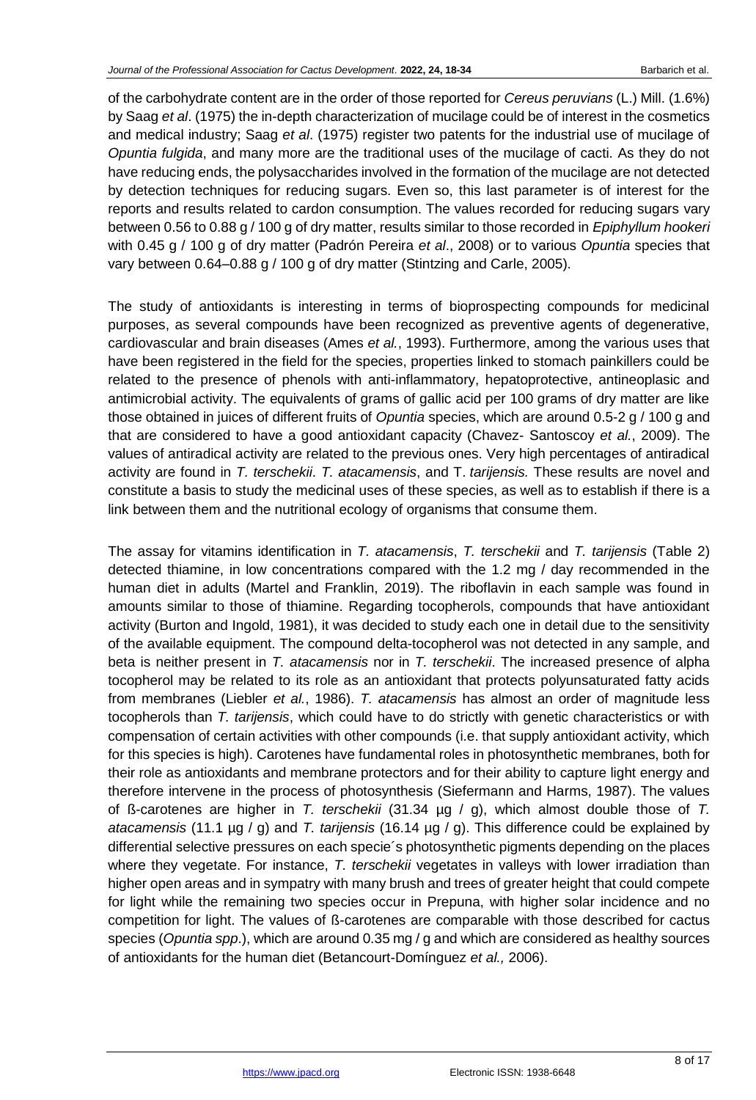of the carbohydrate content are in the order of those reported for *Cereus peruvians* (L.) Mill. (1.6%) by Saag *et al*. (1975) the in-depth characterization of mucilage could be of interest in the cosmetics and medical industry; Saag *et al*. (1975) register two patents for the industrial use of mucilage of *Opuntia fulgida*, and many more are the traditional uses of the mucilage of cacti. As they do not have reducing ends, the polysaccharides involved in the formation of the mucilage are not detected by detection techniques for reducing sugars. Even so, this last parameter is of interest for the reports and results related to cardon consumption. The values recorded for reducing sugars vary between 0.56 to 0.88 g / 100 g of dry matter, results similar to those recorded in *Epiphyllum hookeri* with 0.45 g / 100 g of dry matter (Padrón Pereira *et al*., 2008) or to various *Opuntia* species that vary between 0.64–0.88 g / 100 g of dry matter (Stintzing and Carle, 2005).

The study of antioxidants is interesting in terms of bioprospecting compounds for medicinal purposes, as several compounds have been recognized as preventive agents of degenerative, cardiovascular and brain diseases (Ames *et al.*, 1993). Furthermore, among the various uses that have been registered in the field for the species, properties linked to stomach painkillers could be related to the presence of phenols with anti-inflammatory, hepatoprotective, antineoplasic and antimicrobial activity. The equivalents of grams of gallic acid per 100 grams of dry matter are like those obtained in juices of different fruits of *Opuntia* species, which are around 0.5-2 g / 100 g and that are considered to have a good antioxidant capacity (Chavez- Santoscoy *et al.*, 2009). The values of antiradical activity are related to the previous ones. Very high percentages of antiradical activity are found in *T. terschekii*. *T. atacamensis*, and T. *tarijensis.* These results are novel and constitute a basis to study the medicinal uses of these species, as well as to establish if there is a link between them and the nutritional ecology of organisms that consume them.

The assay for vitamins identification in *T. atacamensis*, *T. terschekii* and *T. tarijensis* (Table 2) detected thiamine, in low concentrations compared with the 1.2 mg / day recommended in the human diet in adults (Martel and Franklin, 2019). The riboflavin in each sample was found in amounts similar to those of thiamine. Regarding tocopherols, compounds that have antioxidant activity (Burton and Ingold, 1981), it was decided to study each one in detail due to the sensitivity of the available equipment. The compound delta-tocopherol was not detected in any sample, and beta is neither present in *T. atacamensis* nor in *T. terschekii*. The increased presence of alpha tocopherol may be related to its role as an antioxidant that protects polyunsaturated fatty acids from membranes (Liebler *et al.*, 1986). *T. atacamensis* has almost an order of magnitude less tocopherols than *T. tarijensis*, which could have to do strictly with genetic characteristics or with compensation of certain activities with other compounds (i.e. that supply antioxidant activity, which for this species is high). Carotenes have fundamental roles in photosynthetic membranes, both for their role as antioxidants and membrane protectors and for their ability to capture light energy and therefore intervene in the process of photosynthesis (Siefermann and Harms, 1987). The values of ß-carotenes are higher in *T. terschekii* (31.34 µg / g), which almost double those of *T. atacamensis* (11.1 µg / g) and *T. tarijensis* (16.14 µg / g). This difference could be explained by differential selective pressures on each specie´s photosynthetic pigments depending on the places where they vegetate. For instance, *T. terschekii* vegetates in valleys with lower irradiation than higher open areas and in sympatry with many brush and trees of greater height that could compete for light while the remaining two species occur in Prepuna, with higher solar incidence and no competition for light. The values of ß-carotenes are comparable with those described for cactus species (*Opuntia spp*.), which are around 0.35 mg / g and which are considered as healthy sources of antioxidants for the human diet (Betancourt-Domínguez *et al.,* 2006).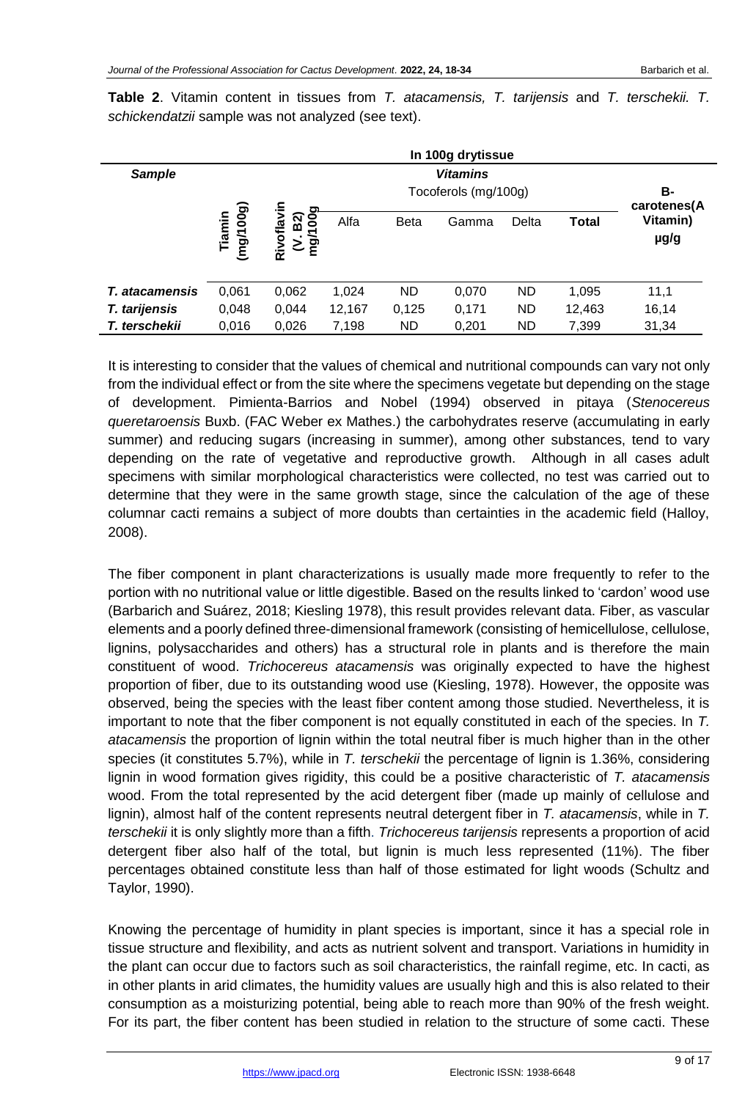|                       | In 100g drytissue   |                                         |        |             |                |           |              |                                 |  |  |
|-----------------------|---------------------|-----------------------------------------|--------|-------------|----------------|-----------|--------------|---------------------------------|--|--|
| <b>Sample</b>         |                     | <b>Vitamins</b><br>Tocoferols (mg/100g) |        |             |                |           |              |                                 |  |  |
|                       | (mg/100g)<br>Tiamin | ਠ<br>B2)<br>8<br>Rivoflay<br>g          | Alfa   | <b>Beta</b> | Delta<br>Gamma |           | <b>Total</b> | carotenes(A<br>Vitamin)<br>µg/g |  |  |
| <b>T.</b> atacamensis | 0,061               | 0,062                                   | 1,024  | ND.         | 0,070          | <b>ND</b> | 1,095        | 11,1                            |  |  |
| T. tarijensis         | 0,048               | 0,044                                   | 12,167 | 0,125       | 0,171          | ND        | 12,463       | 16,14                           |  |  |
| T. terschekii         | 0,016               | 0,026                                   | 7,198  | ND          | 0,201          | <b>ND</b> | 7,399        | 31,34                           |  |  |

**Table 2**. Vitamin content in tissues from *T. atacamensis, T. tarijensis* and *T. terschekii. T. schickendatzii* sample was not analyzed (see text).

It is interesting to consider that the values of chemical and nutritional compounds can vary not only from the individual effect or from the site where the specimens vegetate but depending on the stage of development. Pimienta-Barrios and Nobel (1994) observed in pitaya (*Stenocereus queretaroensis* Buxb. (FAC Weber ex Mathes.) the carbohydrates reserve (accumulating in early summer) and reducing sugars (increasing in summer), among other substances, tend to vary depending on the rate of vegetative and reproductive growth. Although in all cases adult specimens with similar morphological characteristics were collected, no test was carried out to determine that they were in the same growth stage, since the calculation of the age of these columnar cacti remains a subject of more doubts than certainties in the academic field (Halloy, 2008).

The fiber component in plant characterizations is usually made more frequently to refer to the portion with no nutritional value or little digestible. Based on the results linked to 'cardon' wood use (Barbarich and Suárez, 2018; Kiesling 1978), this result provides relevant data. Fiber, as vascular elements and a poorly defined three-dimensional framework (consisting of hemicellulose, cellulose, lignins, polysaccharides and others) has a structural role in plants and is therefore the main constituent of wood. *Trichocereus atacamensis* was originally expected to have the highest proportion of fiber, due to its outstanding wood use (Kiesling, 1978). However, the opposite was observed, being the species with the least fiber content among those studied. Nevertheless, it is important to note that the fiber component is not equally constituted in each of the species. In *T. atacamensis* the proportion of lignin within the total neutral fiber is much higher than in the other species (it constitutes 5.7%), while in *T. terschekii* the percentage of lignin is 1.36%, considering lignin in wood formation gives rigidity, this could be a positive characteristic of *T. atacamensis*  wood. From the total represented by the acid detergent fiber (made up mainly of cellulose and lignin), almost half of the content represents neutral detergent fiber in *T. atacamensis*, while in *T. terschekii* it is only slightly more than a fifth. *Trichocereus tarijensis* represents a proportion of acid detergent fiber also half of the total, but lignin is much less represented (11%). The fiber percentages obtained constitute less than half of those estimated for light woods (Schultz and Taylor, 1990).

Knowing the percentage of humidity in plant species is important, since it has a special role in tissue structure and flexibility, and acts as nutrient solvent and transport. Variations in humidity in the plant can occur due to factors such as soil characteristics, the rainfall regime, etc. In cacti, as in other plants in arid climates, the humidity values are usually high and this is also related to their consumption as a moisturizing potential, being able to reach more than 90% of the fresh weight. For its part, the fiber content has been studied in relation to the structure of some cacti. These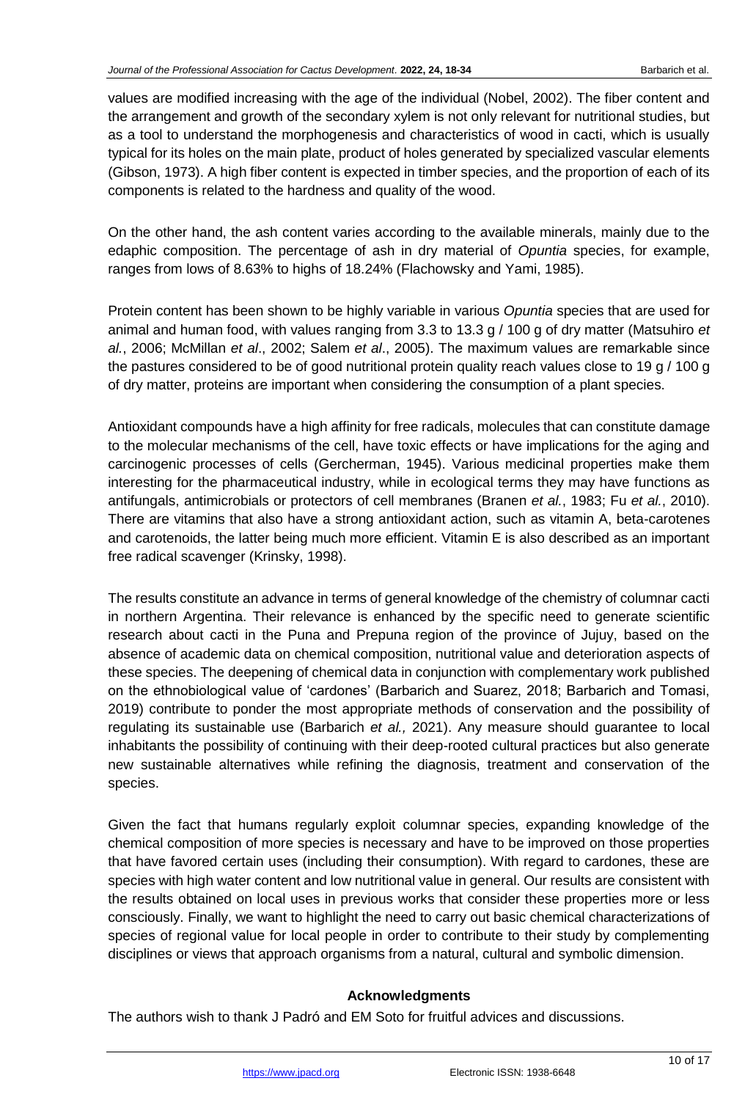values are modified increasing with the age of the individual (Nobel, 2002). The fiber content and the arrangement and growth of the secondary xylem is not only relevant for nutritional studies, but as a tool to understand the morphogenesis and characteristics of wood in cacti, which is usually typical for its holes on the main plate, product of holes generated by specialized vascular elements (Gibson, 1973). A high fiber content is expected in timber species, and the proportion of each of its components is related to the hardness and quality of the wood.

On the other hand, the ash content varies according to the available minerals, mainly due to the edaphic composition. The percentage of ash in dry material of *Opuntia* species, for example, ranges from lows of 8.63% to highs of 18.24% (Flachowsky and Yami, 1985).

Protein content has been shown to be highly variable in various *Opuntia* species that are used for animal and human food, with values ranging from 3.3 to 13.3 g / 100 g of dry matter (Matsuhiro *et al.*, 2006; McMillan *et al*., 2002; Salem *et al*., 2005). The maximum values are remarkable since the pastures considered to be of good nutritional protein quality reach values close to 19 g / 100 g of dry matter, proteins are important when considering the consumption of a plant species.

Antioxidant compounds have a high affinity for free radicals, molecules that can constitute damage to the molecular mechanisms of the cell, have toxic effects or have implications for the aging and carcinogenic processes of cells (Gercherman, 1945). Various medicinal properties make them interesting for the pharmaceutical industry, while in ecological terms they may have functions as antifungals, antimicrobials or protectors of cell membranes (Branen *et al.*, 1983; Fu *et al.*, 2010). There are vitamins that also have a strong antioxidant action, such as vitamin A, beta-carotenes and carotenoids, the latter being much more efficient. Vitamin E is also described as an important free radical scavenger (Krinsky, 1998).

The results constitute an advance in terms of general knowledge of the chemistry of columnar cacti in northern Argentina. Their relevance is enhanced by the specific need to generate scientific research about cacti in the Puna and Prepuna region of the province of Jujuy, based on the absence of academic data on chemical composition, nutritional value and deterioration aspects of these species. The deepening of chemical data in conjunction with complementary work published on the ethnobiological value of 'cardones' (Barbarich and Suarez, 2018; Barbarich and Tomasi, 2019) contribute to ponder the most appropriate methods of conservation and the possibility of regulating its sustainable use (Barbarich *et al.,* 2021). Any measure should guarantee to local inhabitants the possibility of continuing with their deep-rooted cultural practices but also generate new sustainable alternatives while refining the diagnosis, treatment and conservation of the species.

Given the fact that humans regularly exploit columnar species, expanding knowledge of the chemical composition of more species is necessary and have to be improved on those properties that have favored certain uses (including their consumption). With regard to cardones, these are species with high water content and low nutritional value in general. Our results are consistent with the results obtained on local uses in previous works that consider these properties more or less consciously. Finally, we want to highlight the need to carry out basic chemical characterizations of species of regional value for local people in order to contribute to their study by complementing disciplines or views that approach organisms from a natural, cultural and symbolic dimension.

## **Acknowledgments**

The authors wish to thank J Padró and EM Soto for fruitful advices and discussions.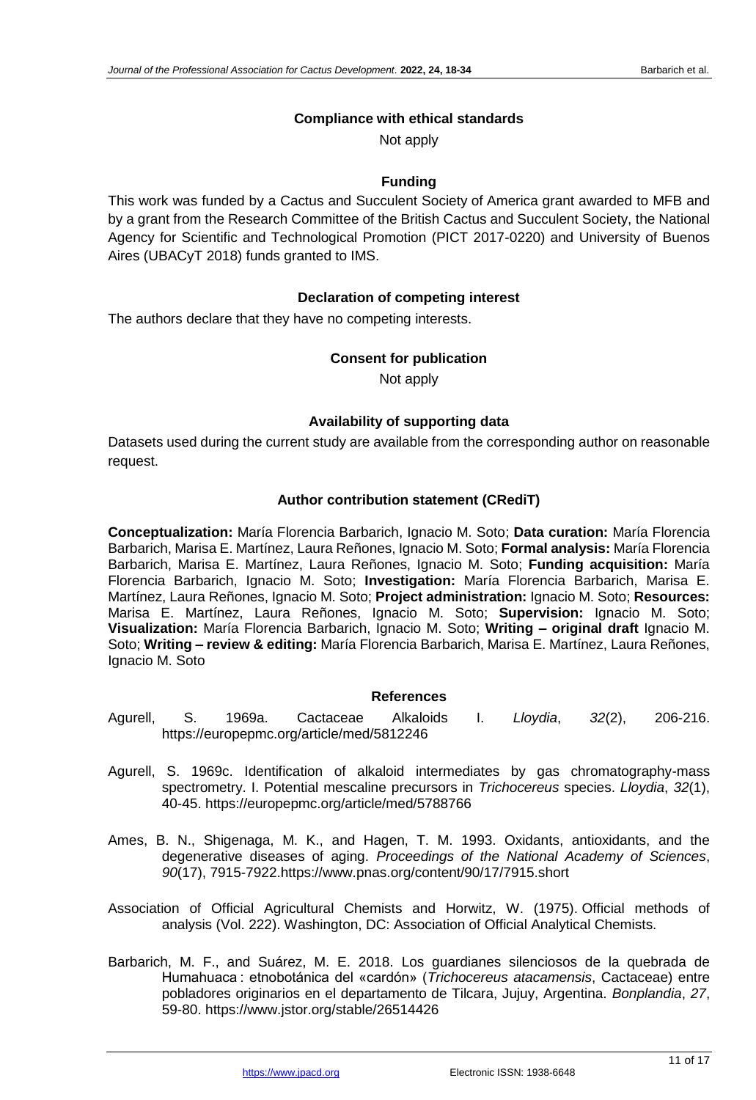#### **Compliance with ethical standards**

Not apply

#### **Funding**

This work was funded by a Cactus and Succulent Society of America grant awarded to MFB and by a grant from the Research Committee of the British Cactus and Succulent Society, the National Agency for Scientific and Technological Promotion (PICT 2017-0220) and University of Buenos Aires (UBACyT 2018) funds granted to IMS.

#### **Declaration of competing interest**

The authors declare that they have no competing interests.

#### **Consent for publication**

Not apply

#### **Availability of supporting data**

Datasets used during the current study are available from the corresponding author on reasonable request.

#### **Author contribution statement (CRediT)**

**Conceptualization:** María Florencia Barbarich, Ignacio M. Soto; **Data curation:** María Florencia Barbarich, Marisa E. Martínez, Laura Reñones, Ignacio M. Soto; **Formal analysis:** María Florencia Barbarich, Marisa E. Martínez, Laura Reñones, Ignacio M. Soto; **Funding acquisition:** María Florencia Barbarich, Ignacio M. Soto; **Investigation:** María Florencia Barbarich, Marisa E. Martínez, Laura Reñones, Ignacio M. Soto; **Project administration:** Ignacio M. Soto; **Resources:**  Marisa E. Martínez, Laura Reñones, Ignacio M. Soto; **Supervision:** Ignacio M. Soto; **Visualization:** María Florencia Barbarich, Ignacio M. Soto; **Writing – original draft** Ignacio M. Soto; **Writing – review & editing:** María Florencia Barbarich, Marisa E. Martínez, Laura Reñones, Ignacio M. Soto

#### **References**

- Agurell, S. 1969a. Cactaceae Alkaloids I. *Lloydia*, *32*(2), 206-216. https://europepmc.org/article/med/5812246
- Agurell, S. 1969c. Identification of alkaloid intermediates by gas chromatography-mass spectrometry. I. Potential mescaline precursors in *Trichocereus* species. *Lloydia*, *32*(1), 40-45. https://europepmc.org/article/med/5788766
- Ames, B. N., Shigenaga, M. K., and Hagen, T. M. 1993. Oxidants, antioxidants, and the degenerative diseases of aging. *Proceedings of the National Academy of Sciences*, *90*(17), 7915-7922.https://www.pnas.org/content/90/17/7915.short
- Association of Official Agricultural Chemists and Horwitz, W. (1975). Official methods of analysis (Vol. 222). Washington, DC: Association of Official Analytical Chemists.
- Barbarich, M. F., and Suárez, M. E. 2018. Los guardianes silenciosos de la quebrada de Humahuaca : etnobotánica del «cardón» (*Trichocereus atacamensis*, Cactaceae) entre pobladores originarios en el departamento de Tilcara, Jujuy, Argentina. *Bonplandia*, *27*, 59-80. https://www.jstor.org/stable/26514426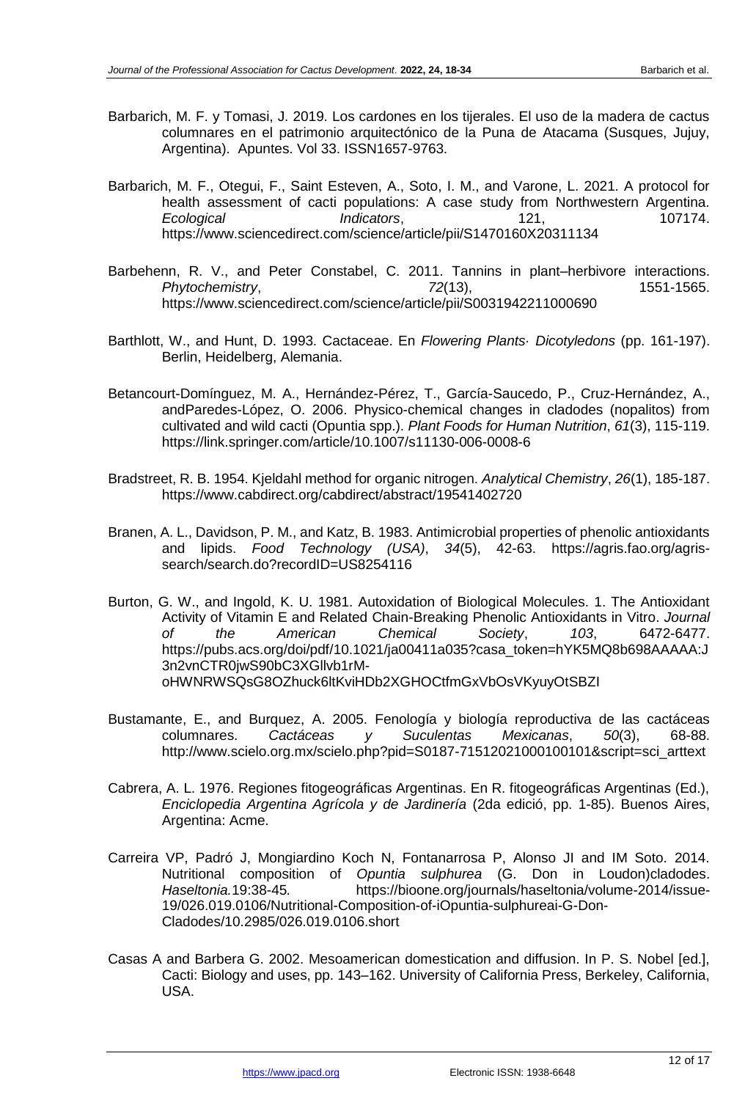- Barbarich, M. F. y Tomasi, J. 2019. Los cardones en los tijerales. El uso de la madera de cactus columnares en el patrimonio arquitectónico de la Puna de Atacama (Susques, Jujuy, Argentina). Apuntes. Vol 33. ISSN1657-9763.
- Barbarich, M. F., Otegui, F., Saint Esteven, A., Soto, I. M., and Varone, L. 2021. A protocol for health assessment of cacti populations: A case study from Northwestern Argentina. *Ecological Indicators*, 121, 107174. https://www.sciencedirect.com/science/article/pii/S1470160X20311134
- Barbehenn, R. V., and Peter Constabel, C. 2011. Tannins in plant–herbivore interactions. *Phytochemistry*, *72*(13), 1551-1565. https://www.sciencedirect.com/science/article/pii/S0031942211000690
- Barthlott, W., and Hunt, D. 1993. Cactaceae. En *Flowering Plants· Dicotyledons* (pp. 161-197). Berlin, Heidelberg, Alemania.
- Betancourt-Domínguez, M. A., Hernández-Pérez, T., García-Saucedo, P., Cruz-Hernández, A., andParedes-López, O. 2006. Physico-chemical changes in cladodes (nopalitos) from cultivated and wild cacti (Opuntia spp.). *Plant Foods for Human Nutrition*, *61*(3), 115-119. https://link.springer.com/article/10.1007/s11130-006-0008-6
- Bradstreet, R. B. 1954. Kjeldahl method for organic nitrogen. *Analytical Chemistry*, *26*(1), 185-187. https://www.cabdirect.org/cabdirect/abstract/19541402720
- Branen, A. L., Davidson, P. M., and Katz, B. 1983. Antimicrobial properties of phenolic antioxidants and lipids. *Food Technology (USA)*, *34*(5), 42-63. https://agris.fao.org/agrissearch/search.do?recordID=US8254116
- Burton, G. W., and Ingold, K. U. 1981. Autoxidation of Biological Molecules. 1. The Antioxidant Activity of Vitamin E and Related Chain-Breaking Phenolic Antioxidants in Vitro. *Journal of the American Chemical Society*, *103*, 6472-6477. https://pubs.acs.org/doi/pdf/10.1021/ja00411a035?casa\_token=hYK5MQ8b698AAAAA:J 3n2vnCTR0jwS90bC3XGllvb1rMoHWNRWSQsG8OZhuck6ltKviHDb2XGHOCtfmGxVbOsVKyuyOtSBZI
- Bustamante, E., and Burquez, A. 2005. Fenología y biología reproductiva de las cactáceas columnares. *Cactáceas y Suculentas Mexicanas*, *50*(3), 68-88. http://www.scielo.org.mx/scielo.php?pid=S0187-71512021000100101&script=sci\_arttext
- Cabrera, A. L. 1976. Regiones fitogeográficas Argentinas. En R. fitogeográficas Argentinas (Ed.), *Enciclopedia Argentina Agrícola y de Jardinería* (2da edició, pp. 1-85). Buenos Aires, Argentina: Acme.
- Carreira VP, Padró J, Mongiardino Koch N, Fontanarrosa P, Alonso JI and IM Soto. 2014. Nutritional composition of *Opuntia sulphurea* (G. Don in Loudon)cladodes. *Haseltonia.*19:38-45*.* https://bioone.org/journals/haseltonia/volume-2014/issue-19/026.019.0106/Nutritional-Composition-of-iOpuntia-sulphureai-G-Don-Cladodes/10.2985/026.019.0106.short
- Casas A and Barbera G. 2002. Mesoamerican domestication and diffusion. In P. S. Nobel [ed.], Cacti: Biology and uses, pp. 143–162. University of California Press, Berkeley, California, USA.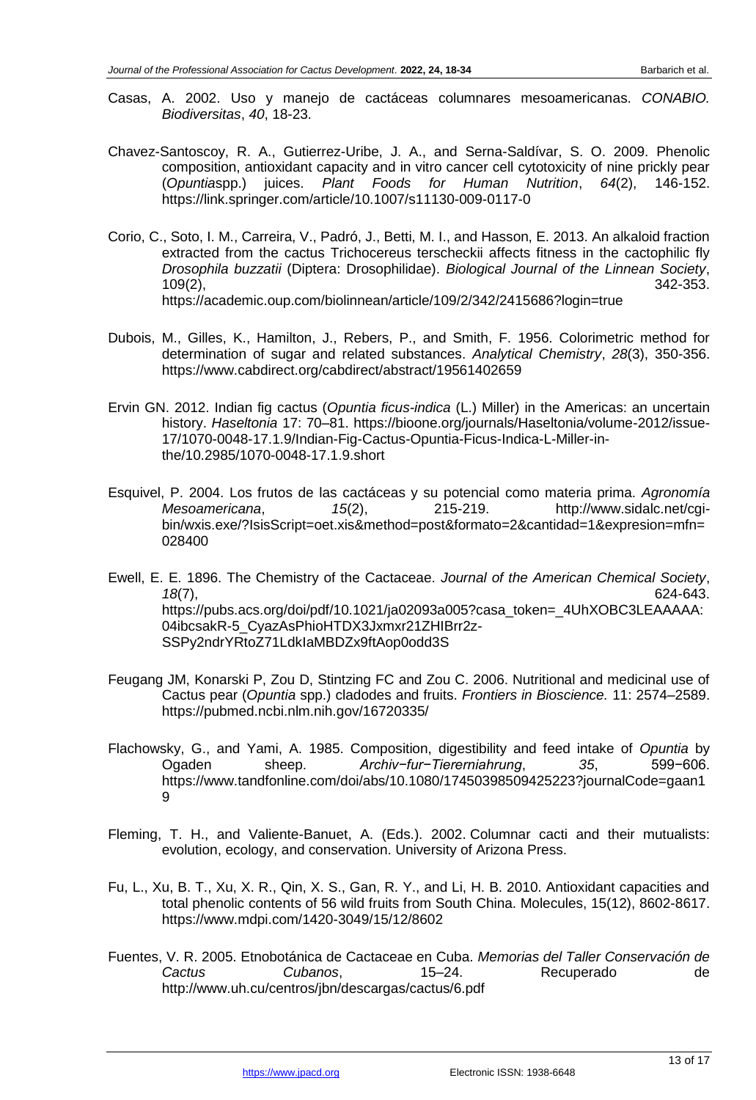- Casas, A. 2002. Uso y manejo de cactáceas columnares mesoamericanas. *CONABIO. Biodiversitas*, *40*, 18-23.
- Chavez-Santoscoy, R. A., Gutierrez-Uribe, J. A., and Serna-Saldívar, S. O. 2009. Phenolic composition, antioxidant capacity and in vitro cancer cell cytotoxicity of nine prickly pear (*Opuntia*spp.) juices. *Plant Foods for Human Nutrition*, *64*(2), 146-152. https://link.springer.com/article/10.1007/s11130-009-0117-0
- Corio, C., Soto, I. M., Carreira, V., Padró, J., Betti, M. I., and Hasson, E. 2013. An alkaloid fraction extracted from the cactus Trichocereus terscheckii affects fitness in the cactophilic fly *Drosophila buzzatii* (Diptera: Drosophilidae). *Biological Journal of the Linnean Society*, 109(2), 342-353. https://academic.oup.com/biolinnean/article/109/2/342/2415686?login=true
- Dubois, M., Gilles, K., Hamilton, J., Rebers, P., and Smith, F. 1956. Colorimetric method for determination of sugar and related substances. *Analytical Chemistry*, *28*(3), 350-356. https://www.cabdirect.org/cabdirect/abstract/19561402659
- Ervin GN. 2012. Indian fig cactus (*Opuntia ficus-indica* (L.) Miller) in the Americas: an uncertain history. *Haseltonia* 17: 70–81. https://bioone.org/journals/Haseltonia/volume-2012/issue-17/1070-0048-17.1.9/Indian-Fig-Cactus-Opuntia-Ficus-Indica-L-Miller-inthe/10.2985/1070-0048-17.1.9.short
- Esquivel, P. 2004. Los frutos de las cactáceas y su potencial como materia prima. *Agronomía Mesoamericana*, *15*(2), 215-219. http://www.sidalc.net/cgibin/wxis.exe/?IsisScript=oet.xis&method=post&formato=2&cantidad=1&expresion=mfn= 028400
- Ewell, E. E. 1896. The Chemistry of the Cactaceae. *Journal of the American Chemical Society*, *18*(7), 624-643. https://pubs.acs.org/doi/pdf/10.1021/ja02093a005?casa\_token=\_4UhXOBC3LEAAAAA: 04ibcsakR-5 CyazAsPhioHTDX3Jxmxr21ZHIBrr2z-SSPy2ndrYRtoZ71LdkIaMBDZx9ftAop0odd3S
- Feugang JM, Konarski P, Zou D, Stintzing FC and Zou C. 2006. Nutritional and medicinal use of Cactus pear (*Opuntia* spp.) cladodes and fruits. *Frontiers in Bioscience.* 11: 2574–2589. https://pubmed.ncbi.nlm.nih.gov/16720335/
- Flachowsky, G., and Yami, A. 1985. Composition, digestibility and feed intake of *Opuntia* by Ogaden sheep. *Archiv−fur−Tiererniahrung*, *35*, 599−606. https://www.tandfonline.com/doi/abs/10.1080/17450398509425223?journalCode=gaan1 9
- Fleming, T. H., and Valiente-Banuet, A. (Eds.). 2002. Columnar cacti and their mutualists: evolution, ecology, and conservation. University of Arizona Press.
- Fu, L., Xu, B. T., Xu, X. R., Qin, X. S., Gan, R. Y., and Li, H. B. 2010. Antioxidant capacities and total phenolic contents of 56 wild fruits from South China. Molecules, 15(12), 8602-8617. https://www.mdpi.com/1420-3049/15/12/8602
- Fuentes, V. R. 2005. Etnobotánica de Cactaceae en Cuba. *Memorias del Taller Conservación de Cactus Cubanos*, 15–24. Recuperado de http://www.uh.cu/centros/jbn/descargas/cactus/6.pdf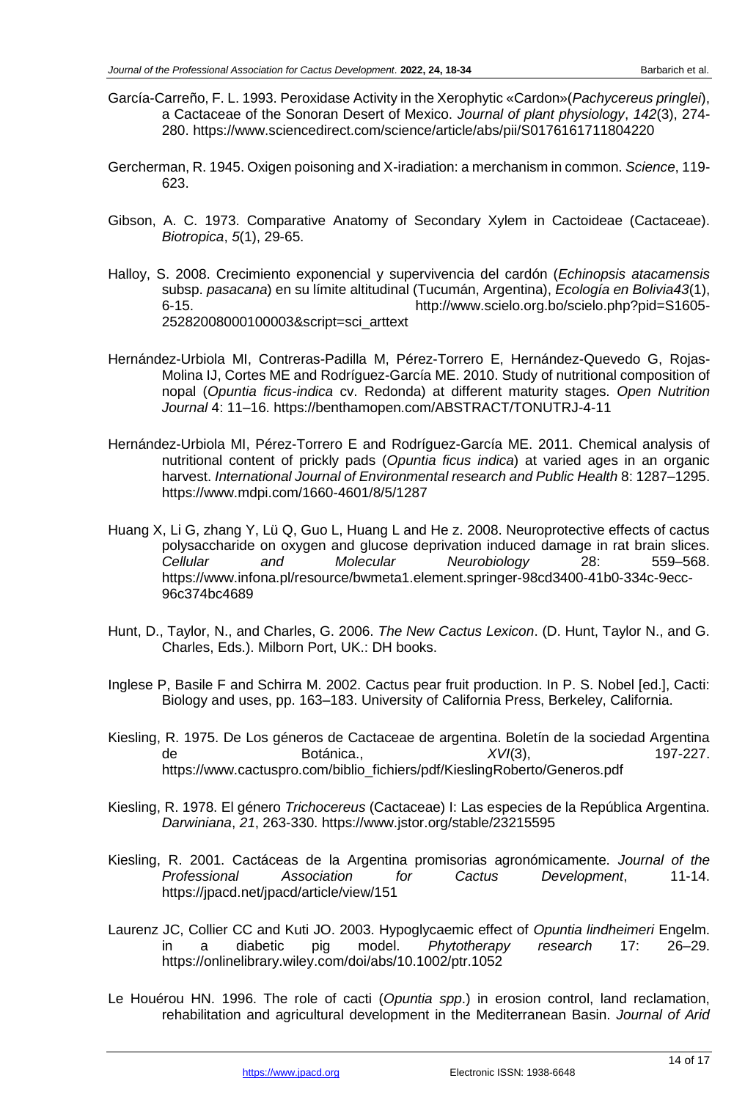- García-Carreño, F. L. 1993. Peroxidase Activity in the Xerophytic «Cardon»(*Pachycereus pringlei*), a Cactaceae of the Sonoran Desert of Mexico. *Journal of plant physiology*, *142*(3), 274- 280. https://www.sciencedirect.com/science/article/abs/pii/S0176161711804220
- Gercherman, R. 1945. Oxigen poisoning and X-iradiation: a merchanism in common. *Science*, 119- 623.
- Gibson, A. C. 1973. Comparative Anatomy of Secondary Xylem in Cactoideae (Cactaceae). *Biotropica*, *5*(1), 29-65.
- Halloy, S. 2008. Crecimiento exponencial y supervivencia del cardón (*Echinopsis atacamensis* subsp. *pasacana*) en su límite altitudinal (Tucumán, Argentina), *Ecología en Bolivia43*(1), 6-15. http://www.scielo.org.bo/scielo.php?pid=S1605- 25282008000100003&script=sci\_arttext
- Hernández-Urbiola MI, Contreras-Padilla M, Pérez-Torrero E, Hernández-Quevedo G, Rojas-Molina IJ, Cortes ME and Rodríguez-García ME. 2010. Study of nutritional composition of nopal (*Opuntia ficus-indica* cv. Redonda) at different maturity stages. *Open Nutrition Journal* 4: 11–16. https://benthamopen.com/ABSTRACT/TONUTRJ-4-11
- Hernández-Urbiola MI, Pérez-Torrero E and Rodríguez-García ME. 2011. Chemical analysis of nutritional content of prickly pads (*Opuntia ficus indica*) at varied ages in an organic harvest. *International Journal of Environmental research and Public Health* 8: 1287–1295. https://www.mdpi.com/1660-4601/8/5/1287
- Huang X, Li G, zhang Y, Lü Q, Guo L, Huang L and He z. 2008. Neuroprotective effects of cactus polysaccharide on oxygen and glucose deprivation induced damage in rat brain slices. *Cellular and Molecular Neurobiology* 28: 559–568. https://www.infona.pl/resource/bwmeta1.element.springer-98cd3400-41b0-334c-9ecc-96c374bc4689
- Hunt, D., Taylor, N., and Charles, G. 2006. *The New Cactus Lexicon*. (D. Hunt, Taylor N., and G. Charles, Eds.). Milborn Port, UK.: DH books.
- Inglese P, Basile F and Schirra M. 2002. Cactus pear fruit production. In P. S. Nobel [ed.], Cacti: Biology and uses, pp. 163–183. University of California Press, Berkeley, California.
- Kiesling, R. 1975. De Los géneros de Cactaceae de argentina. Boletín de la sociedad Argentina de Botánica., *XVI*(3), 197-227. https://www.cactuspro.com/biblio\_fichiers/pdf/KieslingRoberto/Generos.pdf
- Kiesling, R. 1978. El género *Trichocereus* (Cactaceae) I: Las especies de la República Argentina. *Darwiniana*, *21*, 263-330. https://www.jstor.org/stable/23215595
- Kiesling, R. 2001. Cactáceas de la Argentina promisorias agronómicamente. *Journal of the Professional Association for Cactus Development*, 11-14. https://jpacd.net/jpacd/article/view/151
- Laurenz JC, Collier CC and Kuti JO. 2003. Hypoglycaemic effect of *Opuntia lindheimeri* Engelm. in a diabetic pig model. *Phytotherapy research* 17: 26–29. https://onlinelibrary.wiley.com/doi/abs/10.1002/ptr.1052
- Le Houérou HN. 1996. The role of cacti (*Opuntia spp*.) in erosion control, land reclamation, rehabilitation and agricultural development in the Mediterranean Basin. *Journal of Arid*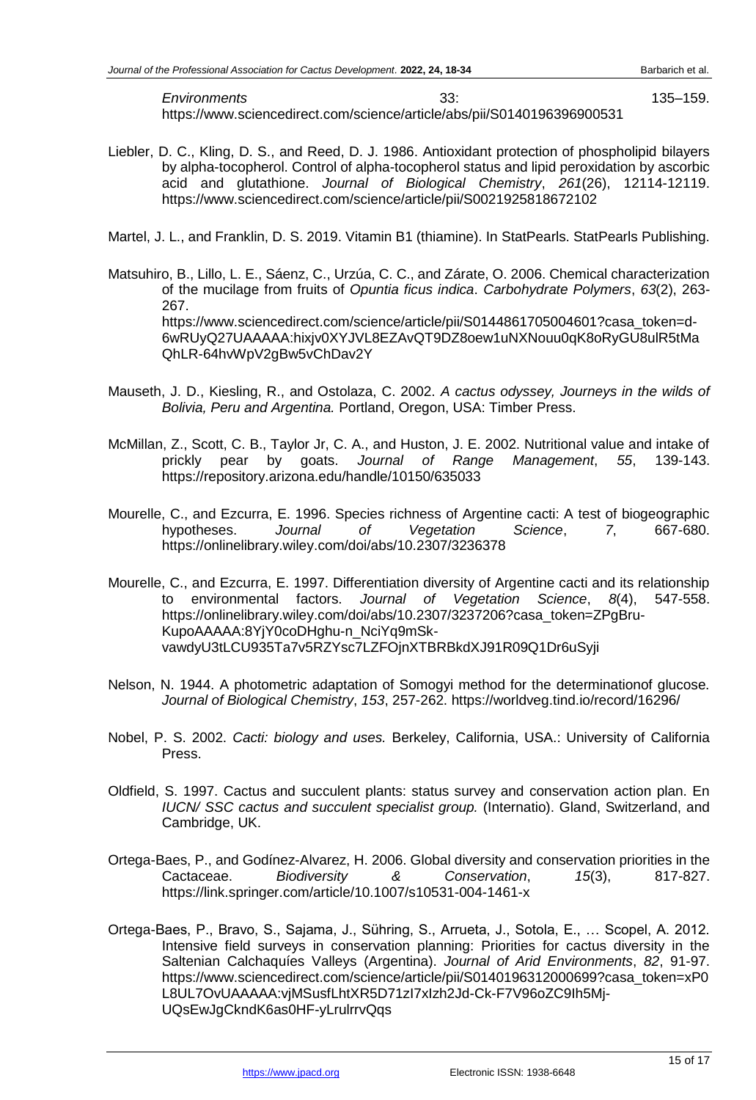*Environments* 33: 135–159. https://www.sciencedirect.com/science/article/abs/pii/S0140196396900531

Liebler, D. C., Kling, D. S., and Reed, D. J. 1986. Antioxidant protection of phospholipid bilayers by alpha-tocopherol. Control of alpha-tocopherol status and lipid peroxidation by ascorbic acid and glutathione. *Journal of Biological Chemistry*, *261*(26), 12114-12119. https://www.sciencedirect.com/science/article/pii/S0021925818672102

Martel, J. L., and Franklin, D. S. 2019. Vitamin B1 (thiamine). In StatPearls. StatPearls Publishing.

- Matsuhiro, B., Lillo, L. E., Sáenz, C., Urzúa, C. C., and Zárate, O. 2006. Chemical characterization of the mucilage from fruits of *Opuntia ficus indica*. *Carbohydrate Polymers*, *63*(2), 263- 267. https://www.sciencedirect.com/science/article/pii/S0144861705004601?casa\_token=d-6wRUyQ27UAAAAA:hixjv0XYJVL8EZAvQT9DZ8oew1uNXNouu0qK8oRyGU8ulR5tMa QhLR-64hvWpV2gBw5vChDav2Y
- Mauseth, J. D., Kiesling, R., and Ostolaza, C. 2002. *A cactus odyssey, Journeys in the wilds of Bolivia, Peru and Argentina.* Portland, Oregon, USA: Timber Press.
- McMillan, Z., Scott, C. B., Taylor Jr, C. A., and Huston, J. E. 2002. Nutritional value and intake of prickly pear by goats. *Journal of Range Management*, *55*, 139-143. https://repository.arizona.edu/handle/10150/635033
- Mourelle, C., and Ezcurra, E. 1996. Species richness of Argentine cacti: A test of biogeographic hypotheses. *Journal of Vegetation Science*, *7*, 667-680. https://onlinelibrary.wiley.com/doi/abs/10.2307/3236378
- Mourelle, C., and Ezcurra, E. 1997. Differentiation diversity of Argentine cacti and its relationship to environmental factors. *Journal of Vegetation Science*, *8*(4), 547-558. https://onlinelibrary.wiley.com/doi/abs/10.2307/3237206?casa\_token=ZPgBru-KupoAAAAA:8YjY0coDHghu-n\_NciYq9mSkvawdyU3tLCU935Ta7v5RZYsc7LZFOjnXTBRBkdXJ91R09Q1Dr6uSyji
- Nelson, N. 1944. A photometric adaptation of Somogyi method for the determinationof glucose. *Journal of Biological Chemistry*, *153*, 257-262. https://worldveg.tind.io/record/16296/
- Nobel, P. S. 2002. *Cacti: biology and uses.* Berkeley, California, USA.: University of California Press.
- Oldfield, S. 1997. Cactus and succulent plants: status survey and conservation action plan. En *IUCN/ SSC cactus and succulent specialist group.* (Internatio). Gland, Switzerland, and Cambridge, UK.
- Ortega-Baes, P., and Godínez-Alvarez, H. 2006. Global diversity and conservation priorities in the Cactaceae. *Biodiversity & Conservation*, *15*(3), 817-827. https://link.springer.com/article/10.1007/s10531-004-1461-x
- Ortega-Baes, P., Bravo, S., Sajama, J., Sühring, S., Arrueta, J., Sotola, E., … Scopel, A. 2012. Intensive field surveys in conservation planning: Priorities for cactus diversity in the Saltenian Calchaquíes Valleys (Argentina). *Journal of Arid Environments*, *82*, 91-97. https://www.sciencedirect.com/science/article/pii/S0140196312000699?casa\_token=xP0 L8UL7OvUAAAAA:vjMSusfLhtXR5D71zI7xIzh2Jd-Ck-F7V96oZC9Ih5Mj-UQsEwJgCkndK6as0HF-yLrulrrvQqs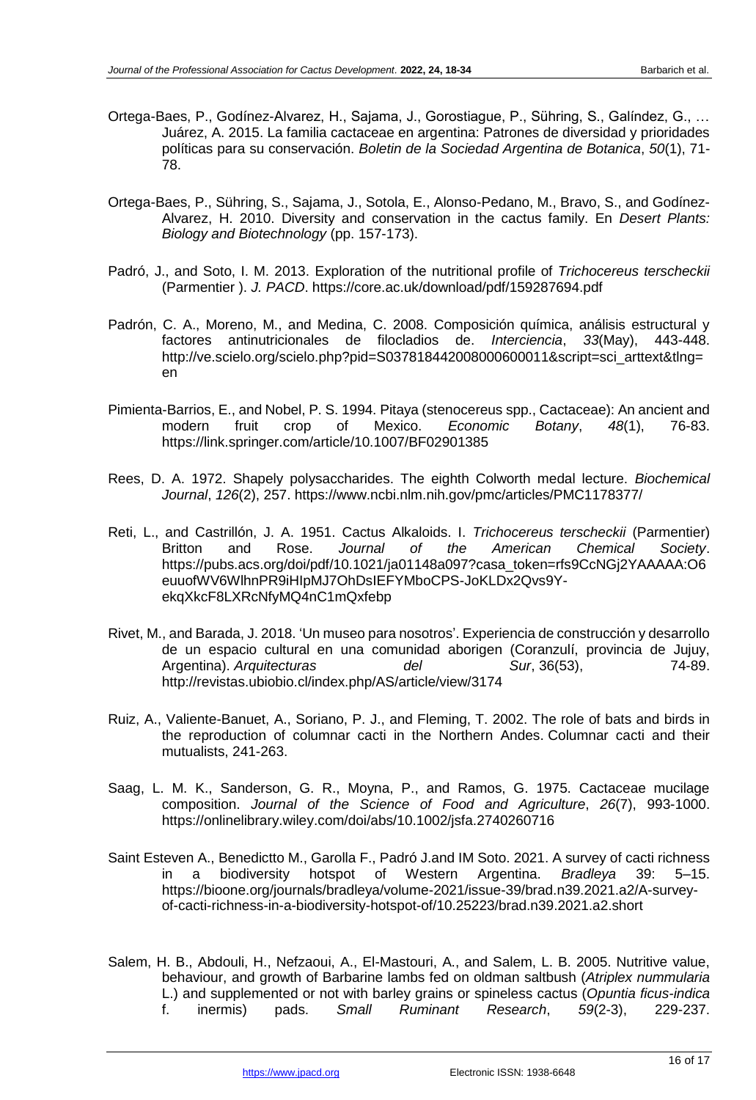- Ortega-Baes, P., Godínez-Alvarez, H., Sajama, J., Gorostiague, P., Sühring, S., Galíndez, G., … Juárez, A. 2015. La familia cactaceae en argentina: Patrones de diversidad y prioridades políticas para su conservación. *Boletin de la Sociedad Argentina de Botanica*, *50*(1), 71- 78.
- Ortega-Baes, P., Sühring, S., Sajama, J., Sotola, E., Alonso-Pedano, M., Bravo, S., and Godínez-Alvarez, H. 2010. Diversity and conservation in the cactus family. En *Desert Plants: Biology and Biotechnology* (pp. 157-173).
- Padró, J., and Soto, I. M. 2013. Exploration of the nutritional profile of *Trichocereus terscheckii* (Parmentier ). *J. PACD*. https://core.ac.uk/download/pdf/159287694.pdf
- Padrón, C. A., Moreno, M., and Medina, C. 2008. Composición química, análisis estructural y factores antinutricionales de filocladios de. *Interciencia*, *33*(May), 443-448. http://ve.scielo.org/scielo.php?pid=S037818442008000600011&script=sci\_arttext&tlng= en
- Pimienta-Barrios, E., and Nobel, P. S. 1994. Pitaya (stenocereus spp., Cactaceae): An ancient and modern fruit crop of Mexico. *Economic Botany*, *48*(1), 76-83. https://link.springer.com/article/10.1007/BF02901385
- Rees, D. A. 1972. Shapely polysaccharides. The eighth Colworth medal lecture. *Biochemical Journal*, *126*(2), 257. https://www.ncbi.nlm.nih.gov/pmc/articles/PMC1178377/
- Reti, L., and Castrillón, J. A. 1951. Cactus Alkaloids. I. *Trichocereus terscheckii* (Parmentier) Britton and Rose. *Journal of the American Chemical Society*. https://pubs.acs.org/doi/pdf/10.1021/ja01148a097?casa\_token=rfs9CcNGj2YAAAAA:O6 euuofWV6WlhnPR9iHIpMJ7OhDsIEFYMboCPS-JoKLDx2Qvs9YekqXkcF8LXRcNfyMQ4nC1mQxfebp
- Rivet, M., and Barada, J. 2018. 'Un museo para nosotros'. Experiencia de construcción y desarrollo de un espacio cultural en una comunidad aborigen (Coranzulí, provincia de Jujuy, Argentina). *Arquitecturas* del Sur, 36(53), 74-89. http://revistas.ubiobio.cl/index.php/AS/article/view/3174
- Ruiz, A., Valiente-Banuet, A., Soriano, P. J., and Fleming, T. 2002. The role of bats and birds in the reproduction of columnar cacti in the Northern Andes. Columnar cacti and their mutualists, 241-263.
- Saag, L. M. K., Sanderson, G. R., Moyna, P., and Ramos, G. 1975. Cactaceae mucilage composition. *Journal of the Science of Food and Agriculture*, *26*(7), 993-1000. https://onlinelibrary.wiley.com/doi/abs/10.1002/jsfa.2740260716
- Saint Esteven A., Benedictto M., Garolla F., Padró J.and IM Soto. 2021. A survey of cacti richness in a biodiversity hotspot of Western Argentina. *Bradleya* 39: 5–15. https://bioone.org/journals/bradleya/volume-2021/issue-39/brad.n39.2021.a2/A-surveyof-cacti-richness-in-a-biodiversity-hotspot-of/10.25223/brad.n39.2021.a2.short
- Salem, H. B., Abdouli, H., Nefzaoui, A., El-Mastouri, A., and Salem, L. B. 2005. Nutritive value, behaviour, and growth of Barbarine lambs fed on oldman saltbush (*Atriplex nummularia*  L.) and supplemented or not with barley grains or spineless cactus (*Opuntia ficus-indica* f. inermis) pads. *Small Ruminant Research*, *59*(2-3), 229-237.